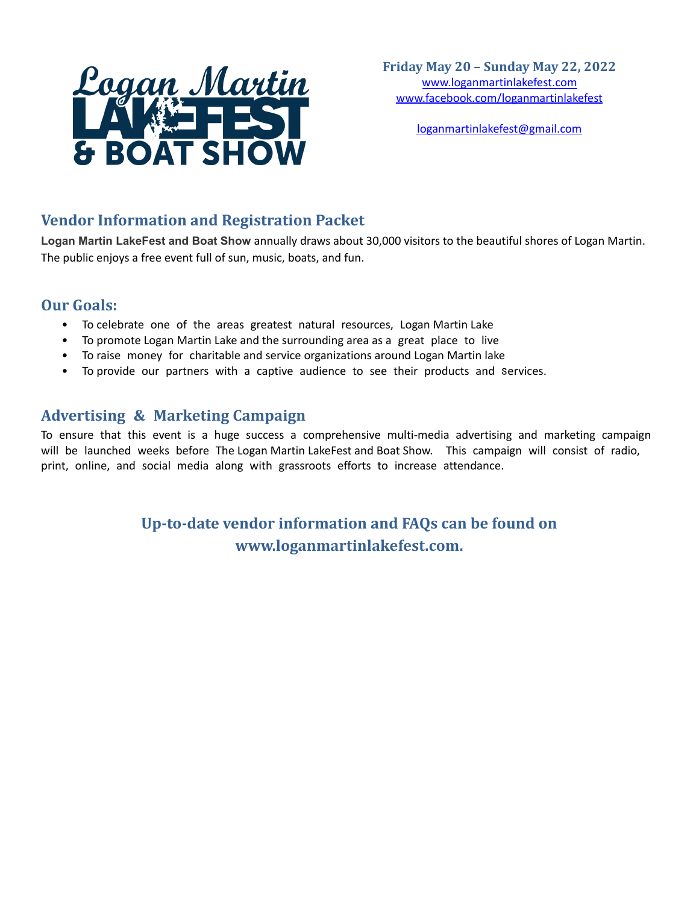

[loganmartinlakefest@gmail.com](mailto:loganmartinlakefest@gmail.com)

## **Vendor Information and Registration Packet**

**Logan Martin LakeFest and Boat Show** annually draws about 30,000 visitors to the beautiful shores of Logan Martin. The public enjoys a free event full of sun, music, boats, and fun.

## **Our Goals:**

- To celebrate one of the areas greatest natural resources, Logan Martin Lake
- To promote Logan Martin Lake and the surrounding area as a great place to live
- To raise money for charitable and service organizations around Logan Martin lake
- To provide our partners with a captive audience to see their products and services.

## **Advertising & Marketing Campaign**

To ensure that this event is a huge success a comprehensive multi-media advertising and marketing campaign will be launched weeks before The Logan Martin LakeFest and Boat Show. This campaign will consist of radio, print, online, and social media along with grassroots efforts to increase attendance.

> **Up-to-date vendor information and FAQs can be found on [www.loganmartinlakefest.com.](http://www.loganmartinlakefest.com)**